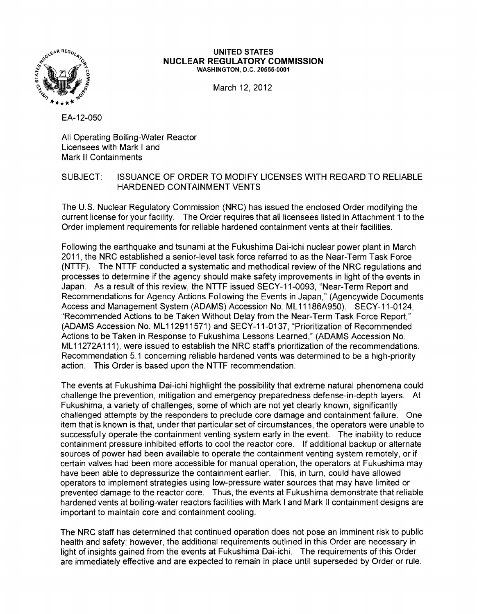

#### **UNITED STATES NUCLEAR REGULATORY COMMISSION** WASHINGTON, D.C. 20555-0001

March 12, 2012

EA-12-050

All Operating Boiling-Water Reactor Licensees with Mark I and Mark **II** Containments

# SUBJECT: ISSUANCE OF ORDER TO MODIFY LICENSES WITH REGARD TO RELIABLE HARDENED CONTAINMENT VENTS

The U.S. Nuclear Regulatory Commission (NRC) has issued the enclosed Order modifying the current license for your facility. The Order requires that all licensees listed in Attachment 1 to the Order implement requirements for reliable hardened containment vents at their facilities.

Following the earthquake and tsunami at the Fukushima Dai-ichi nuclear power plant in March 2011, the NRC established a senior-level task force referred to as the Near-Term Task Force (NTTF). The NTTF conducted a systematic and methodical review of the NRC regulations and processes to determine if the agency should make safety improvements in light of the events in Japan. As a result of this review, the NTTF issued SECY -11-0093. "Near-Term Report and Recommendations for Agency Actions Following the Events in Japan," (Agencywide Documents Access and Management System (ADAMS) Accession No. ML 11186A950). SECY-11-0124. "Recommended Actions to be Taken Without Delay 'from the Near-Term Task Force Report," (ADAMS Accession No. ML 112911571) and SECY-11-0137. "Prioritization of Recommended Actions to be Taken in Response to Fukushima Lessons Learned," (ADAMS Accession No. ML 11272A 111), were issued to establish the NRC staff's prioritization of the recommendations. Recommendation 5.1 concerning reliable hardened vents was determined to be a high-priority action. This Order is based upon the NTTF recommendation.

The events at Fukushima Dai-ichi highlight the possibility that extreme natural phenomena could challenge the prevention, mitigation and emergency preparedness defense-in-depth layers. At Fukushima, a variety of challenges, some of which are not yet clearly known. Significantly challenged attempts by the responders to preclude core damage and containment failure. One item that is known is that, under that particular set of circumstances, the operators were unable to successfully operate the containment venting system early in the event. The inability to reduce containment pressure inhibited efforts to cool the reactor core. If additional backup or alternate sources of power had been available to operate the containment venting system remotely, or if certain valves had been more accessible for manual operation, the operators at Fukushima may have been able to depressurize the containment earlier. This, in turn, could have allowed operators to implement strategies using low-pressure water sources that may have limited or prevented damage to the reactor core. Thus, the events at Fukushima demonstrate that reliable hardened vents at boiling-water reactors facilities with Mark I and Mark II containment designs are important to maintain core and containment cooling.

The NRC staff has determined that continued operation does not pose an imminent risk to public health and safety; however. the additional requirements outlined in this Order are necessary in light of insights gained from the events at Fukushima Dai-ichi. The requirements of this Order are immediately effective and are expected to remain in place until superseded by Order or rule.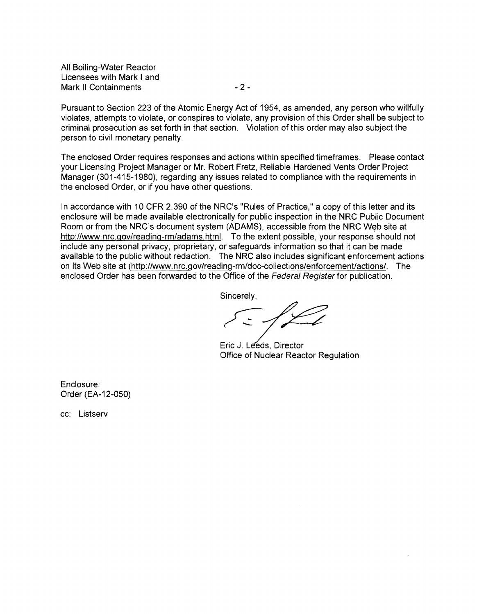All Boiling-Water Reactor Licensees with Mark I and Mark II Containments - 2 -

Pursuant to Section 223 of the Atomic Energy Act of 1954, as amended, any person who willfully violates, attempts to violate, or conspires to violate, any provision of this Order shall be subject to criminal prosecution as set forth in that section. Violation of this order may also subject the person to civil monetary penalty.

The enclosed Order requires responses and actions within specified timeframes. Please contact your Licensing Project Manager or Mr. Robert Fretz, Reliable Hardened Vents Order Project Manager (301-415-1980), regarding any issues related to compliance with the requirements in the enclosed Order, or if you have other questions.

In accordance with 10 CFR 2.390 of the NRC's "Rules of Practice," a copy of this letter and its enclosure will be made available electronically for public inspection in the NRC Public Document Room or from the NRC's document system (ADAMS), accessible from the NRC Web site at http://www.nrc.gov/reading-rm/adams.html. To the extent possible, your response should not include any personal privacy, proprietary, or safeguards information so that it can be made available to the public without redaction. The NRC also includes significant enforcement actions on its Web site at (http://www.nrc.gov/reading-rm/doc-collections/enforcement/actions/. The enclosed Order has been forwarded to the Office of the Federal Register for publication.

Sincerely,

Eric J. Leeds, Director<br>
Office of Nuclear Reactor Regulation

Enclosure: Order (EA-12-050)

cc: Listserv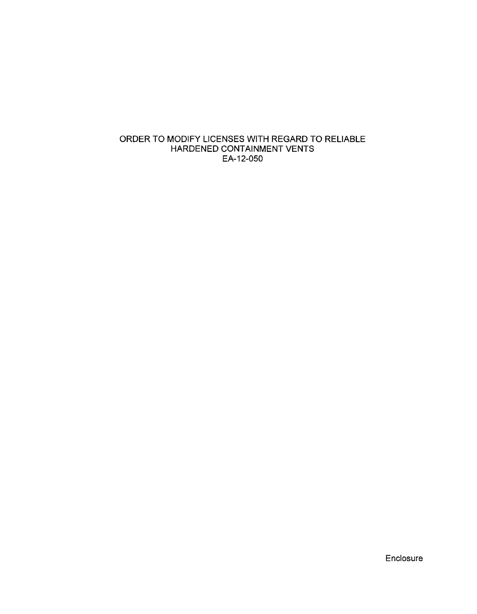# ORDER TO MODIFY LICENSES WITH REGARD TO RELIABLE HARDENED CONTAINMENT VENTS EA-12-050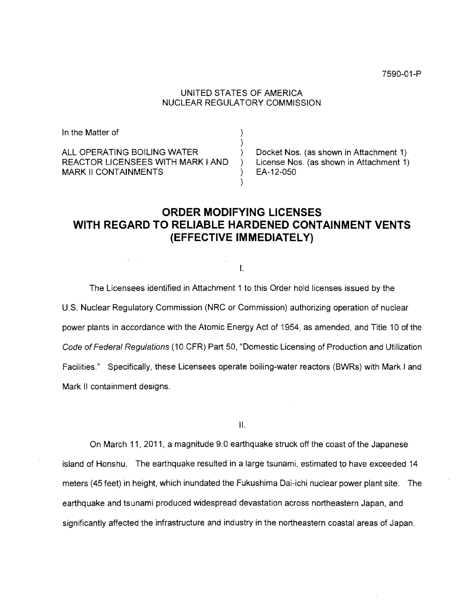## UNITED STATES OF AMERICA NUCLEAR REGULATORY COMMISSION

| In the Matter of                  |                                         |
|-----------------------------------|-----------------------------------------|
| ALL OPERATING BOILING WATER       | Docket Nos. (as shown in Attachment 1)  |
| REACTOR LICENSEES WITH MARK I AND | License Nos. (as shown in Attachment 1) |
| <b>MARK II CONTAINMENTS</b>       | EA-12-050                               |

# **ORDER MODIFYING LICENSES WITH REGARD TO RELIABLE HARDENED CONTAINMENT VENTS (EFFECTIVE IMMEDIATELY)**

I.

The Licensees identified in Attachment 1 to this Order hold licenses issued by the U.S. Nuclear Regulatory Commission (NRC or Commission) authorizing operation of nuclear power plants in accordance with the Atomic Energy Act of 1954, as amended, and Titie 10 of the Code of Federal Regulations (10 CFR) Part 50, "Domestic Licensing of Production and Utilization Facilities." Specifically, these Licensees operate boiling-water reactors (BWRs) with Mark I and Mark II containment designs.

II.

On March 11, 2011, a magnitude 9.0 earthquake struck off the coast of the Japanese island of Honshu. The earthquake resulted in a large tsunami, estimated to have exceeded 14 meters (45 feet) in height, which inundated the Fukushima Dai-ichi nuclear power plant site. The earthquake and tsunami produced widespread devastation across northeastern Japan, and significantly affected the infrastructure and industry in the northeastern coastal areas of Japan.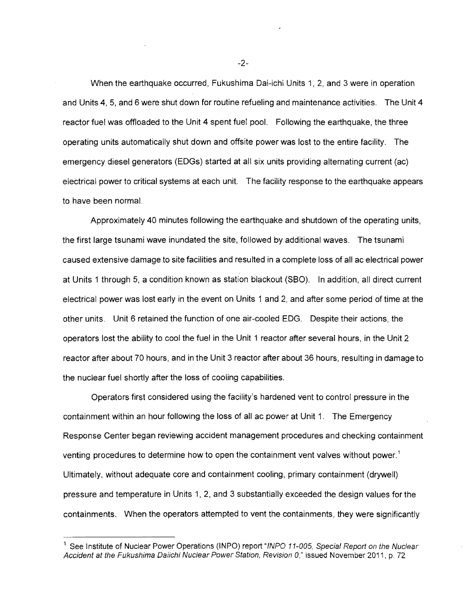When the earthquake occurred, Fukushima Dai-ichi Units 1, 2, and 3 were in operation and Units 4, 5, and 6 were shut down for routine refueling and maintenance activities. The Unit 4 reactor fuel was offloaded to the Unit 4 spent fuel pool. Following the earthquake, the three operating units automatically shut down and offsite power was lost to the entire facility. The emergency diesel generators (EDGs) started at all six units providing alternating current (ac) electrical power to critical systems at each unit. The facility response to the earthquake appears to have been normal.

Approximately 40 minutes following the earthquake and shutdown of the operating units, the first large tsunami wave inundated the site, followed by additional waves. The tsunami caused extensive damage to site facilities and resulted in a complete loss of all ac electrical power at Units 1 through 5, a condition known as station blackout (SSO). In addition, all direct current electrical power was lost early in the event on Units 1 and 2, and after some period of time at the other units. Unit 6 retained the function of one air-cooled EDG. Despite their actions, the operators lost the ability to cool the fuel in the Unit 1 reactor after several hours, in the Unit 2 reactor after about 70 hours, and in the Unit 3 reactor after about 36 hours, resulting in damage to the nuclear fuel shortly after the loss of cooling capabilities.

Operators first considered using the facility's hardened vent to control pressure in the containment within an hour following the loss of all ac power at Unit 1. The Emergency Response Center began reviewing accident management procedures and checking containment venting procedures to determine how to open the containment vent valves without power.<sup>1</sup> Ultimately, without adequate core and containment cooling, primary containment (drywell) pressure and temperature in Units 1, 2, and 3 substantially exceeded the design values for the containments. When the operators attempted to vent the containments, they were significantly

See Institute of Nuclear Power Operations (INPO) report "INPO 11-005, Special Report on the Nuclear Accident at the Fukushima Daiichi Nuclear Power Station, Revision 0," issued November 2011, p. 72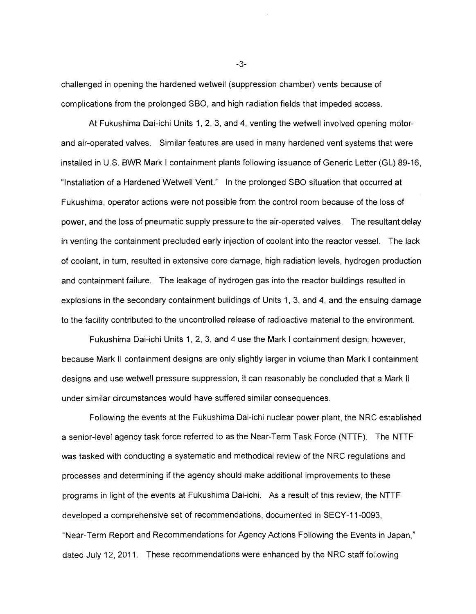challenged in opening the hardened wetwell (suppression chamber) vents because of complications from the prolonged SBO, and high radiation fields that impeded access.

At Fukushima Dai-ichi Units 1, 2, 3, and 4, venting the wetwell involved opening motorand air-operated valves. Similar features are used in many hardened vent systems that were installed in U.S. BWR Mark I containment plants following issuance of Generic Letter (GL) 89-16, "Installation of a Hardened Wetwell Vent." In the prolonged SBO situation that occurred at Fukushima, operator actions were not possible from the control room because of the loss of power, and the loss of pneumatic supply pressure to the air-operated valves. The resultant delay in venting the containment precluded early injection of coolant into the reactor vessel. The Jack of coolant, in turn, resulted in extensive core damage, high radiation levels, hydrogen production and containment failure. The leakage of hydrogen gas into the reactor buildings resulted in explosions in the secondary containment buildings of Units 1, 3, and 4, and the ensuing damage to the facility contributed to the uncontrolled release of radioactive material to the environment.

Fukushima Dai-ichi Units 1, 2, 3, and 4 use the Mark I containment design; however, because Mark II containment designs are only slightly larger in volume than Mark I containment designs and use wetwell pressure suppression, it can reasonably be concluded that a Mark II under similar circumstances would have suffered similar consequences.

Following the events at the Fukushima Dai-ichi nuclear power plant, the NRC established a senior-level agency task force referred to as the Near-Term Task Force (NTrF). The NTTF was tasked with conducting a systematic and methodical review of the NRC regulations and processes and determining if the agency should make additional improvements to these programs in light of the events at Fukushima Dai-ichi. As a result of this review, the NTTF developed a comprehensive set of recommendations, documented in SECY -11-0093, "Near-Term Report and Recommendations for Agency Actions Following the Events in Japan," dated July 12, 2011. These recommendations were enhanced by the NRC staff following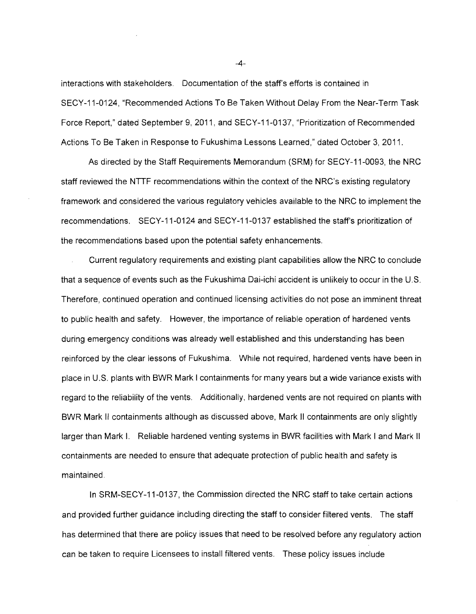interactions with stakeholders. Documentation of the staff's efforts is contained in SECY-11-0124, "Recommended Actions To Be Taken Without Delay From the Near-Term Task Force Report," dated September 9,2011, and SECY-11-0137, "Prioritization of Recommended Actions To Be Taken in Response to Fukushima Lessons Learned," dated October 3,2011.

As directed by the Staff Requirements Memorandum (SRM) for SECY-11-0093, the NRC staff reviewed the NTTF recommendations within the context of the NRC's existing regulatory framework and considered the various regulatory vehicles available to the NRC to implement the recommendations. SECY-11-0124 and SECY-11-0137 established the staff's prioritization of the recommendations based upon the potential safety enhancements.

Current regulatory requirements and existing plant capabilities allow the NRC to conclude that a sequence of events such as the Fukushima Dai-ichi accident is unlikely to occur in the U.S. Therefore, continued operation and continued licensing activities do not pose an imminent threat to public health and safety. However, the importance of reliable operation of hardened vents during emergency conditions was already well established and this understanding has been reinforced by the clear lessons of Fukushima. While not required, hardened vents have been in place in U.S. plants with BWR Mark I containments for many years but a wide variance exists with regard to the reliability of the vents. Additionally, hardened vents are not required on plants with BWR Mark II containments although as discussed above, Mark II containments are only slightly larger than Mark I. Reliable hardened venting systems in BWR facilities with Mark I and Mark II containments are needed to ensure that adequate protection of public health and safety is maintained.

In SRM-SECY-11-0137, the Commission directed the NRC staff to take certain actions and provided further guidance including directing the staff to consider filtered vents. The staff has determined that there are policy issues that need to be resolved before any regulatory action can be taken to require Licensees to install filtered vents. These policy issues include

 $-4-$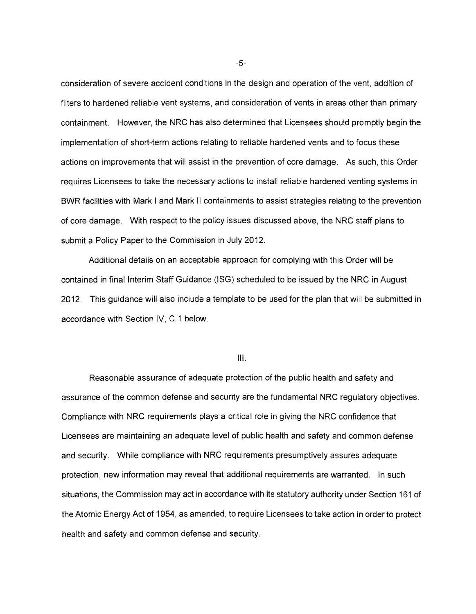consideration of severe accident conditions in the design and operation of the vent, addition of filters to hardened reliable vent systems, and consideration of vents in areas other than primary containment. However, the NRC has also determined that Licensees should promptly begin the implementation of short-term actions relating to reliable hardened vents and to focus these actions on improvements that will assist in the prevention of core damage. As such, this Order requires Licensees to take the necessary actions to install reliable hardened venting systems in BWR facilities with Mark I and Mark II containments to assist strategies relating to the prevention of core damage. With respect to the policy issues discussed above, the NRC staff plans to submit a Policy Paper to the Commission in July 2012.

Additional details on an acceptable approach for complying with this Order will be contained in final Interim Staff Guidance (lSG) scheduled to be issued by the NRC in August 2012. This guidance will also include a template to be used for the plan that will be submitted in accordance with Section IV, C.1 below.

III.

Reasonable assurance of adequate protection of the public health and safety and assurance of the common defense and security are the fundamental NRC regulatory objectives. Compliance with NRC requirements plays a critical role in giving the NRC confidence that Licensees are maintaining an adequate level of public health and safety and common defense and security. While compliance with NRC requirements presumptively assures adequate protection, new information may reveal that additional requirements are warranted. In such situations, the Commission may act in accordance with its statutory authority under Section 161 of the Atomic Energy Act of 1954, as amended, to require Licensees to take action in order to protect health and safety and common defense and security.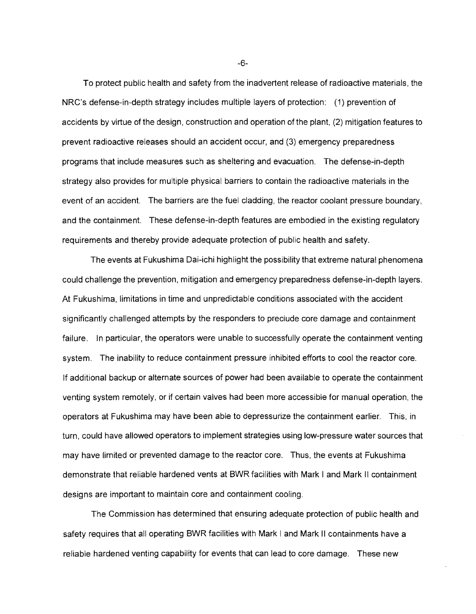To protect public health and safety from the inadvertent release of radioactive materials, the NRC's defense-in-depth strategy includes multiple layers of protection: (1) prevention of accidents by virtue of the design, construction and operation of the plant, (2) mitigation features to prevent radioactive releases should an accident occur, and (3) emergency preparedness programs that include measures such as sheltering and evacuation. The defense-in-depth strategy also provides for multiple physical barriers to contain the radioactive materials in the event of an accident. The barriers are the fuel cladding, the reactor coolant pressure boundary, and the containment. These defense-in-depth features are embodied in the existing regulatory requirements and thereby provide adequate protection of public health and safety.

The events at Fukushima Dai-ichi highlight the possibility that extreme natural phenomena could challenge the prevention, mitigation and emergency preparedness defense-in-depth layers. At Fukushima, limitations in time and unpredictable conditions associated with the accident significantly challenged attempts by the responders to preclude core damage and containment failure. In particular, the operators were unable to successfully operate the containment venting system. The inability to reduce containment pressure inhibited efforts to cool the reactor core. If additional backup or alternate sources of power had been available to operate the containment venting system remotely, or if certain valves had been more accessible for manual operation, the operators at Fukushima may have been able to depressurize the containment earlier. This, in turn, could have allowed operators to implement strategies using low-pressure water sources that may have limited or prevented damage to the reactor core. Thus, the events at Fukushima demonstrate that reliable hardened vents at BWR facilities with Mark I and Mark II containment designs are important to maintain core and containment cooling.

The Commission has determined that ensuring adequate protection of public health and safety requires that all operating BWR facilities with Mark I and Mark II containments have a reliable hardened venting capability for events that can lead to core damage. These new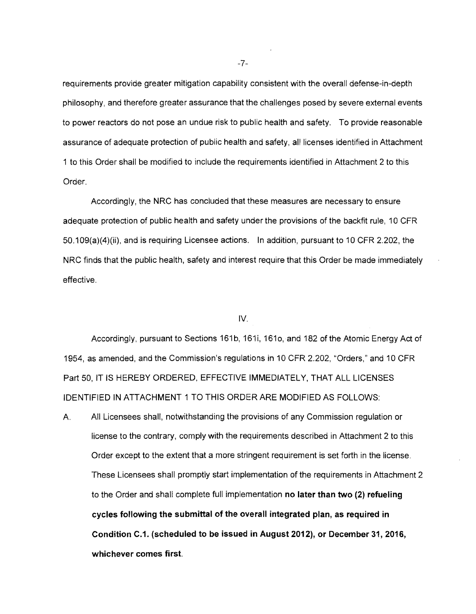requirements provide greater mitigation capability consistent with the overall defense-in-depth philosophy, and therefore greater assurance that the challenges posed by severe external events to power reactors do not pose an undue risk to public health and safety. To provide reasonable assurance of adequate protection of public health and safety, all licenses identified in Attachment 1 to this Order shall be modified to include the requirements identified in Attachment 2 to this Order.

Accordingly, the NRC has concluded that these measures are necessary to ensure adequate protection of public health and safety under the provisions of the backfit rule, 10 CFR 50.109(a)(4)(ii), and is requiring Licensee actions. In addition, pursuant to 10 CFR 2.202, the NRC finds that the public health, safety and interest require that this Order be made immediately effective.

### IV.

Accordingly, pursuant to Sections 161b, 161i, 161o, and 182 of the Atomic Energy Act of 1954, as amended, and the Commission's regulations in 10 CFR 2.202, "Orders," and 10 CFR Part 50, IT IS HEREBY ORDERED, EFFECTIVE IMMEDIATELY, THAT ALL LICENSES IDENTIFIED IN ATTACHMENT 1 TO THIS ORDER ARE MODIFIED AS FOLLOWS:

A. All Licensees shall, notwithstanding the provisions of any Commission regulation or license to the contrary, comply with the requirements described in Attachment 2 to this Order except to the extent that a more stringent requirement is set forth in the license. These Licensees shall promptly start implementation of the requirements in Attachment 2 to the Order and shall complete full implementation no later than two (2) refueling cycles following the submittal of the overall integrated plan, as required in Condition C.1. (scheduled to be issued in August 2012), or December 31,2016, whichever comes first.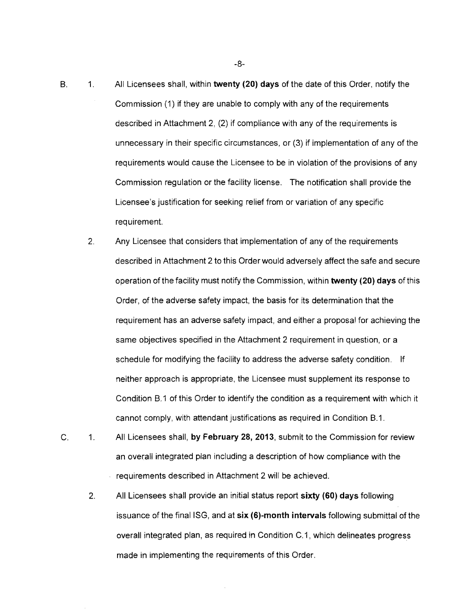- B. 1. All Licensees shall, within **twenty (20) days** of the date of this Order, notify the Commission (1) if they are unable to comply with any of the requirements described in Attachment 2, (2) if compliance with any of the requirements is unnecessary in their specific circumstances, or (3) if implementation of any of the requirements would cause the Licensee to be in violation of the provisions of any Commission regulation or the facility license. The notification shall provide the Licensee's justification for seeking relief from or variation of any specific requirement.
	- 2. Any Licensee that considers that implementation of any of the requirements described in Attachment 2 to this Order would adversely affect the safe and secure operation of the facility must notify the Commission, within **twenty (20) days** of this Order, of the adverse safety impact, the basis for its determination that the requirement has an adverse safety impact, and either a proposal for achieving the same objectives specified in the Attachment 2 requirement in question, or a schedule for modifying the facility to address the adverse safety condition. If neither approach is appropriate, the Licensee must supplement its response to Condition B.1 of this Order to identify the condition as a requirement with which it cannot comply, with attendant justifications as required in Condition B.1.
- C. 1. All Licensees shall, **by February 28,2013,** submit to the Commission for review an overall integrated plan including a description of how compliance with the requirements described in Attachment 2 will be achieved.
	- 2. All Licensees shall provide an initial status report **sixty (60) days** following issuance of the final ISG, and at **six (6)-month intervals** following submittal of the overall integrated plan, as required in Condition C.1, which delineates progress made in implementing the requirements of this Order.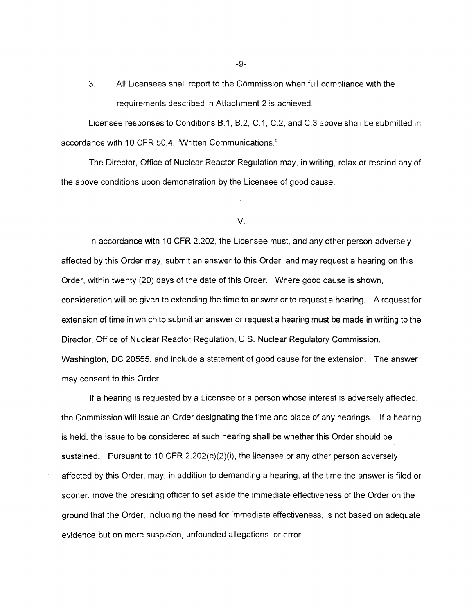3. All Licensees shall report to the Commission when full compliance with the requirements described in Attachment 2 is achieved.

Licensee responses to Conditions B.1, B.2, C.1, C.2, and C.3 above shall be submitted in accordance with 10 CFR 50.4, "Written Communications."

The Director, Office of Nuclear Reactor Regulation may, in writing, relax or rescind any of the above conditions upon demonstration by the Licensee of good cause.

#### V.

In accordance with 10 CFR 2.202, the Licensee must, and any other person adversely affected by this Order may, submit an answer to this Order, and may request a hearing on this Order, within twenty (20) days of the date of this Order. Where good cause is shown, consideration will be given to extending the time to answer or to request a hearing. A request for extension of time in which to submit an answer or request a hearing must be made in writing to the Director, Office of Nuclear Reactor Regulation, U.S. Nuclear Regulatory Commission, Washington, DC 20555, and include a statement of good cause for the extension. The answer may consent to this Order.

If a hearing is requested by a Licensee or a person whose interest is adversely affected, the Commission will issue an Order designating the time and place of any hearings. **If** a hearing is held, the issue to be considered at such hearing shall be whether this Order should be sustained. Pursuant to 10 CFR 2.202(c)(2)(i), the licensee or any other person adversely affected by this Order, may, in addition to demanding a hearing, at the time the answer is filed or sooner, move the presiding officer to set aside the immediate effectiveness of the Order on the ground that the Order, including the need for immediate effectiveness, is not based on adequate evidence but on mere suspicion, unfounded allegations, or error.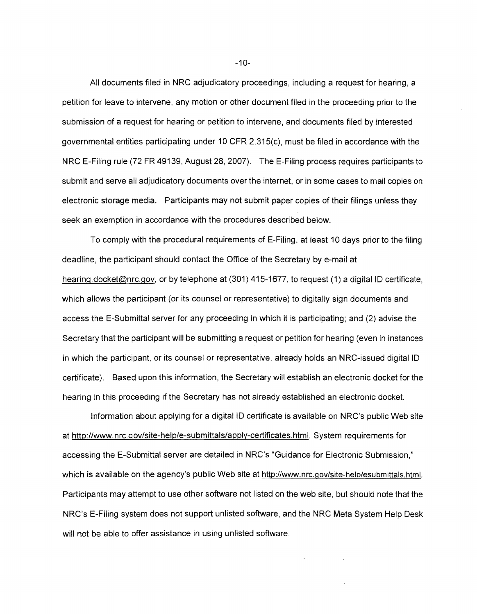All documents filed in NRC adjudicatory proceedings, including a request for hearing, a petition for leave to intervene, any motion or other document filed in the proceeding prior to the submission of a request for hearing or petition to intervene, and documents filed by interested governmental entities participating under 10 CFR 2.315(c), must be filed in accordance with the NRC E-Filing rule (72 FR 49139, August 28,2007). The E-Filing process requires participants to submit and serve all adjudicatory documents over the internet, or in some cases to mail copies on electronic storage media. Participants may not submit paper copies of their filings unless they seek an exemption in accordance with the procedures described below.

To comply with the procedural requirements of E-Filing, at least 10 days prior to the filing deadline, the participant should contact the Office of the Secretary by e-mail at hearing.docket@nrc.gov, or by telephone at (301) 415-1677, to request (1) a digital ID certificate, which allows the participant (or its counsel or representative) to digitally sign documents and access the E-Submittal server for any proceeding in which it is participating; and (2) advise the Secretary that the participant will be submitting a request or petition for hearing (even in instances in which the participant, or its counsel or representative, already holds an NRC-issued digital ID certificate). Based upon this information, the Secretary will establish an electronic docket for the hearing in this proceeding **if** the Secretary has not already established an electronic docket.

Information about applying for a digital ID certificate is available on NRC's public Web site at http://www.nrc.gov/site-help/e-submittals/apply-certificates.html. System requirements for accessing the E-Submittal server are detailed in NRC's "Guidance for Electronic Submission," which is available on the agency's public Web site at http://www.nrc.gov/site-help/esubmittals.html. Participants may attempt to use other software not listed on the web site, but should note that the NRC's E-Filing system does not support unlisted software, and the NRC Meta System Help Desk will not be able to offer assistance in using unlisted software.

 $-10-$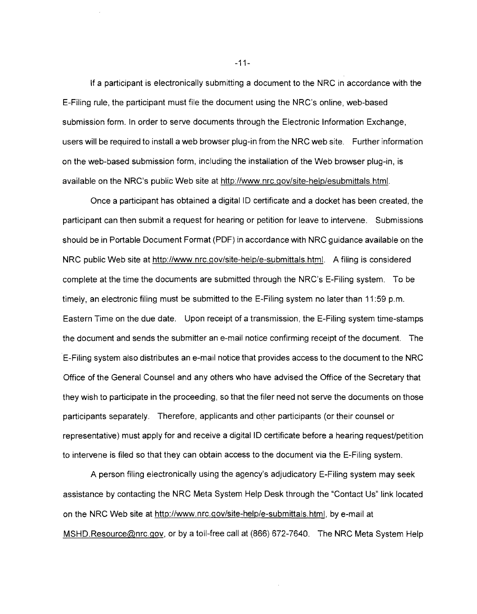If a participant is electronically submitting a document to the NRC in accordance with the E-Filing rule, the participant must file the document using the NRC's online, web-based submission form. In order to serve documents through the Electronic Information Exchange, users will be required to install a web browser plug-in from the NRC web site. Further information on the web-based submission form, including the installation of the Web browser plug-in, is available on the NRC's public Web site at http://www.nrc.gov/site-help/esubmittals.html.

Once a participant has obtained a digital ID certificate and a docket has been created, the participant can then submit a request for hearing or petition for leave to intervene. Submissions should be in Portable Document Format (PDF) in accordance with NRC guidance available on the NRC public Web site at http://www.nrc.gov/site-help/e-submittals.html. A filing is considered complete at the time the documents are submitted through the NRC's E-Filing system. To be timely, an electronic filing must be submitted to the E-Filing system no later than 11 :59 p.m. Eastern Time on the due date. Upon receipt of a transmission, the E-Filing system time-stamps the document and sends the submitter an e-mail notice confirming receipt of the document. The E-Filing system also distributes an e-mail notice that provides access to the document to the NRC Office of the General Counsel and any others who have advised the Office of the Secretary that they wish to participate in the proceeding, so that the filer need not serve the documents on those participants separately. Therefore, applicants and other participants (or their counsel or representative) must apply for and receive a digital ID certificate before a hearing request/petition to intervene is filed so that they can obtain access to the document via the E-Filing system.

A person filing electronically using the agency's adjudicatory E-Filing system may seek assistance by contacting the NRC Meta System Help Desk through the "Contact Us" link located on the NRC Web site at http://www.nrc.gov/site-help/e-submittals.html.by e-mail at MSHD.Resource@nrc.gov, or by a toll-free call at (866) 672-7640. The NRC Meta System Help

 $-11-$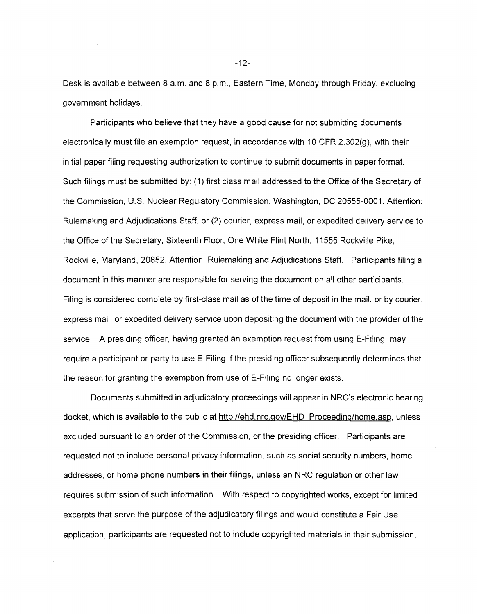Desk is available between 8 a.m. and 8 p.m., Eastern Time, Monday through Friday, excluding government holidays.

Participants who believe that they have a good cause for not submitting documents electronically must file an exemption request, in accordance with 10 CFR 2.302(g), with their initial paper filing requesting authorization to continue to submit documents in paper format. Such filings must be submitted by: (1) first class mail addressed to the Office of the Secretary of the Commission, U.S. Nuclear Regulatory Commission, Washington, DC 20555-0001, Attention: Rulemaking and Adjudications Staff; or (2) courier, express mail, or expedited delivery service to the Office of the Secretary, Sixteenth Floor, One White Flint North, 11555 Rockville Pike, Rockville, Maryland, 20852, Attention: Rulemaking and Adjudications Staff. Participants filing a document in this manner are responsible for serving the document on all other participants. Filing is considered complete by first-class mail as of the time of deposit in the mail, or by courier, express mail, or expedited delivery service upon depositing the document with the provider of the service. A presiding officer, having granted an exemption request from using E-Filing, may require a participant or party to use E-Filing if the presiding officer subsequently determines that the reason for granting the exemption from use of E-Filing no longer exists.

Documents submitted in adjudicatory proceedings will appear in NRC's electronic hearing docket, which is available to the public at http://ehd.nrc.gov/EHD Proceeding/home.asp, unless excluded pursuant to an order of the Commission, or the presiding officer. Participants are requested not to include personal privacy information, such as social security numbers, home addresses, or home phone numbers in their filings, unless an NRC regulation or other law requires submission of such information. With respect to copyrighted works, except for limited excerpts that serve the purpose of the adjudicatory filings and would constitute a Fair Use application, participants are requested not to include copyrighted materials in their submission.

 $-12-$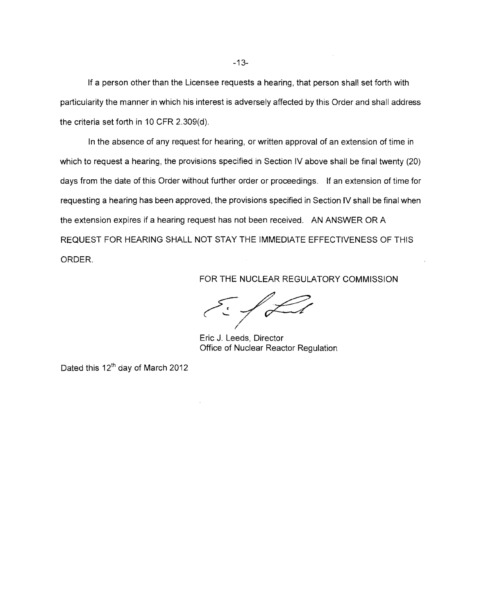If a person other than the Licensee requests a hearing, that person shall set forth with particularity the manner in which his interest is adversely affected by this Order and shall address the criteria set forth in 10 CFR 2.309(d).

**In** the absence of any request for hearing, or written approval of an extension of time in which to request a hearing, the provisions specified in Section IV above shall be final twenty (20) days from the date of this Order without further order or proceedings. If an extension of time for requesting a hearing has been approved, the provisions specified in Section IV shall be final when the extension expires if a hearing request has not been received. AN ANSWER OR A REQUEST FOR HEARING SHALL NOT STAY THE IMMEDIATE EFFECTIVENESS OF THIS ORDER.

FOR THE NUCLEAR REGULATORY COMMISSION

 $\epsilon$  .  $/$  Ll

Eric J. Leeds, Director Office of Nuclear Reactor Regulation

Dated this 12<sup>th</sup> day of March 2012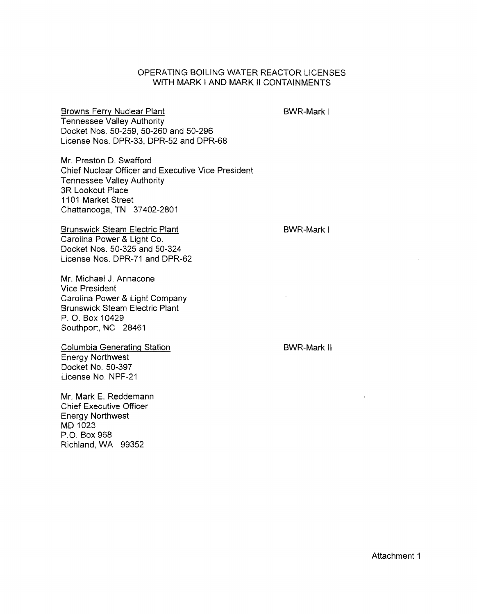## OPERATING BOILING WATER REACTOR LICENSES WITH MARK I AND MARK II CONTAINMENTS

Browns Ferry Nuclear Plant Tennessee Valley Authority Docket Nos. 50-259, 50-260 and 50-296 License Nos. DPR-33, DPR-52 and DPR-68

Mr. Preston D. Swafford Chief Nuclear Officer and Executive Vice President Tennessee Valley Authority 3R Lookout Place 1101 Market Street Chattanooga, TN 37402-2801

Brunswick Steam Electric Plant Carolina Power & Light Co. Docket Nos. 50-325 and 50-324 License Nos. DPR-71 and DPR-62

Mr. Michael J. Annacone Vice President Carolina Power & Light Company Brunswick Steam Electric Plant P. O. Box 10429 Southport, NC 28461

Columbia Generating Station Energy Northwest Docket No. 50-397 License No. NPF-21

Mr. Mark E. Reddemann Chief Executive Officer Energy Northwest MD 1023 P.O. Box 968 Richland, WA 99352

BWR-Mark I

BWR-Mark I

BWR-Mark II

Attachment 1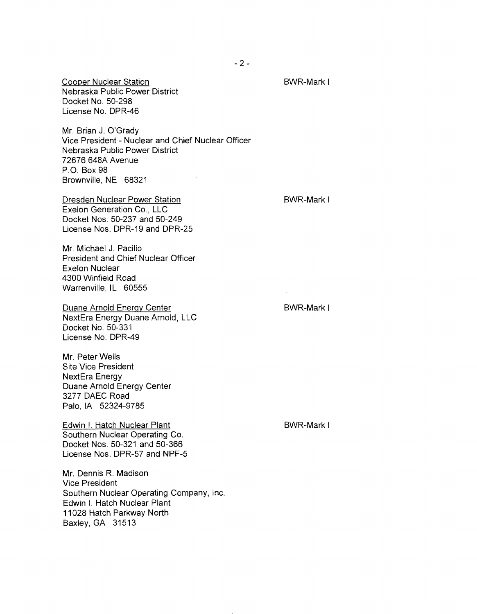Cooper Nuclear Station Nebraska Public Power District Docket No. 50-298 License No. DPR-46

Mr. Brian J. O'Grady Vice President - Nuclear and Chief Nuclear Officer Nebraska Public Power District 72676 648A Avenue P.O. Box 98 Brownville, NE 68321

Dresden Nuclear Power Station Exelon Generation Co., LLC Docket Nos. 50-237 and 50-249 License Nos. DPR-19 and DPR-25

Mr. Michael J. Pacilio President and Chief Nuclear Officer Exelon Nuclear 4300 Winfield Road **Warrenville,IL** 60555

Duane Arnold Energy Center NextEra Energy Duane Arnold, LLC Docket No. 50-331 License No. DPR-49

Mr. Peter Wells Site Vice President NextEra Energy Duane Arnold Energy Center 3277 DAEC Road Palo, IA 52324-9785

Edwin I. Hatch Nuclear Plant Southern Nuclear Operating Co. Docket Nos. 50-321 and 50-366 License Nos. DPR-57 and NPF-5

Mr. Dennis R. Madison Vice President Southern Nuclear Operating Company, Inc. Edwin I. Hatch Nuclear Plant 11028 Hatch Parkway North Baxley, GA 31513

BWR-Mark I

BWR-Mark I

BWR-Mark I

BWR-Mark I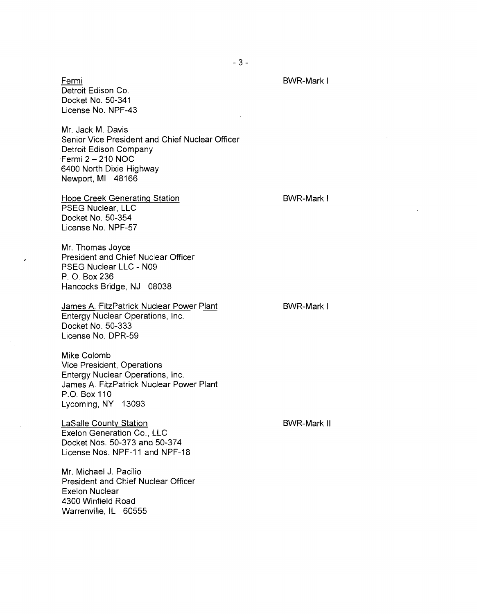Fermi Detroit Edison Co. Docket No. 50-341 License No. NPF-43

Mr. Jack M. Davis Senior Vice President and Chief Nuclear Officer Detroit Edison Company Fermi 2 - 210 NOC 6400 North Dixie Highway Newport, MI 48166

Hope Creek Generating Station PSEG Nuclear, LLC Docket No. 50-354 License No. NPF-57

Mr. Thomas Joyce President and Chief Nuclear Officer PSEG Nuclear LLC - N09 P. O. Box 236 Hancocks Bridge, NJ 08038

James A. FitzPatrick Nuclear Power Plant Entergy Nuclear Operations, Inc. Docket No. 50-333 License No. DPR-59

Mike Colomb Vice President, Operations Entergy Nuclear Operations, Inc. James A. FitzPatrick Nuclear Power Plant P.O. Box 110 Lycoming, NY 13093

LaSalle County Station Exelon Generation Co., LLC Docket Nos. 50-373 and 50-374 License Nos. NPF-11 and NPF-18

Mr. Michael J. Pacilio President and Chief Nuclear Officer Exelon Nuclear 4300 Winfield Road Warrenville, IL 60555

BWR-Mark II

BWR-Mark I

BWR-Mark I

BWR-Mark I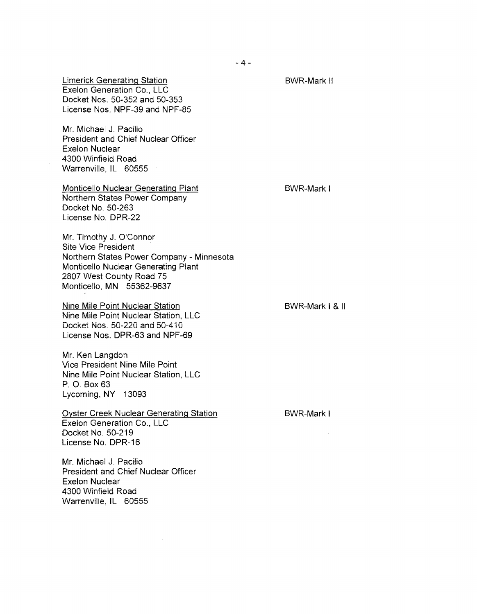Limerick Generating Station Exelon Generation Co., LLC Docket Nos. 50-352 and 50-353 License Nos. NPF-39 and NPF-85

Mr. Michael J. Pacilio President and Chief Nuclear Officer Exelon Nuclear 4300 Winfield Road Warrenville, IL 60555

Monticello Nuclear Generating Plant Northern States Power Company Docket No. 50-263 License No. DPR-22

BWR-Mark I

BWR-Mark II

Mr. Timothy J. O'Connor Site Vice President Northern States Power Company - Minnesota Monticello Nuclear Generating Plant 2807 West County Road 75 Monticello, MN 55362-9637

Nine Mile Point Nuclear Station Nine Mile Point Nuclear Station, LLC Docket Nos. 50-220 and 50-4'10 License Nos. DPR-63 and NPF-69

Mr. Ken Langdon Vice President Nine Mile Point Nine Mile Point Nuclear Station, LLC P. O. Box 63 Lycoming, NY 13093

Oyster Creek Nuclear Generating Station Exelon Generation Co., LLC Docket No. 50-219 License No. DPR-16

Mr. Michael J. Pacilio President and Chief Nuclear Officer Exelon Nuclear 4300 Winfield Road Warrenville, IL 60555

BWR-Mark I & II

BWR-Mark I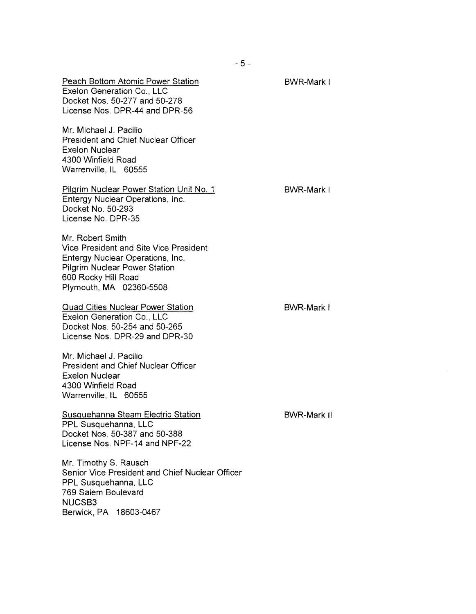| Peach Bottom Atomic Power Station<br>Exelon Generation Co., LLC<br>Docket Nos. 50-277 and 50-278<br>License Nos. DPR-44 and DPR-56                                                       | BWR-Mark I         |
|------------------------------------------------------------------------------------------------------------------------------------------------------------------------------------------|--------------------|
| Mr. Michael J. Pacilio<br>President and Chief Nuclear Officer<br><b>Exelon Nuclear</b><br>4300 Winfield Road<br>Warrenville, IL 60555                                                    |                    |
| Pilgrim Nuclear Power Station Unit No. 1<br>Entergy Nuclear Operations, Inc.<br>Docket No. 50-293<br>License No. DPR-35                                                                  | <b>BWR-Mark I</b>  |
| Mr. Robert Smith<br>Vice President and Site Vice President<br>Entergy Nuclear Operations, Inc.<br><b>Pilgrim Nuclear Power Station</b><br>600 Rocky Hill Road<br>Plymouth, MA 02360-5508 |                    |
| <b>Quad Cities Nuclear Power Station</b><br>Exelon Generation Co., LLC<br>Docket Nos. 50-254 and 50-265<br>License Nos. DPR-29 and DPR-30                                                | BWR-Mark I         |
| Mr. Michael J. Pacilio<br><b>President and Chief Nuclear Officer</b><br><b>Exelon Nuclear</b><br>4300 Winfield Road<br>Warrenville, IL 60555                                             |                    |
| Susquehanna Steam Electric Station<br>PPL Susquehanna, LLC<br>Docket Nos. 50-387 and 50-388<br>License Nos. NPF-14 and NPF-22                                                            | <b>BWR-Mark II</b> |
| Mr. Timothy S. Rausch<br>Senior Vice President and Chief Nuclear Officer<br>PPL Susquehanna, LLC<br>769 Salem Boulevard<br>NUCSB3                                                        |                    |

Berwick, PA 18603-0467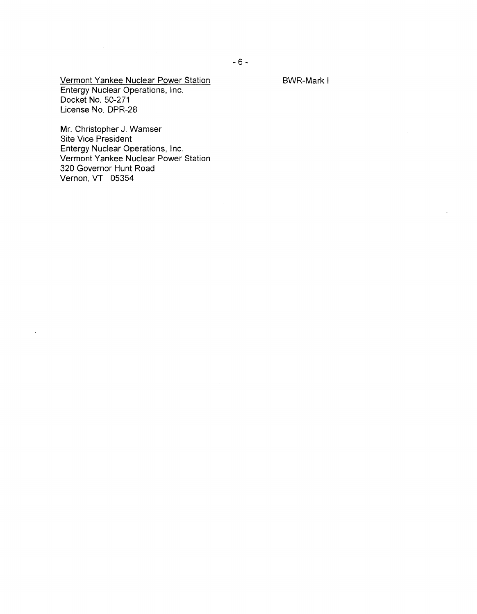BWR-Mark I

Vermont Yankee Nuclear Power Station Entergy Nuclear Operations, Inc. Docket No. 50-271 License No. DPR-28

 $\mathcal{L}^{\text{max}}_{\text{max}}$ 

 $\bar{\gamma}$ 

Mr. Christopher J. Wamser Site Vice President Entergy Nuclear Operations, Inc. Vermont Yankee Nuclear Power Station 320 Governor Hunt Road Vernon, VT 05354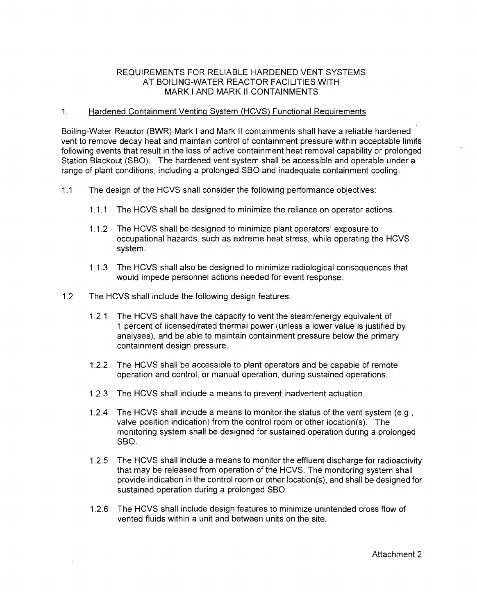## REQUIREMENTS FOR RELIABLE HARDENED VENT SYSTEMS AT BOILING-WATER REACTOR FACILITIES WITH MARK I AND MARK II CONTAINMENTS

## 1. Hardened Containment Venting System (HCVS) Functional Requirements

Boiling-Water Reactor (BWR) Mark I and Mark II containments shall have a reliable hardened vent to remove decay heat and maintain control of containment pressure within acceptable limits following events that result in the loss of active containment heat removal capability or prolonged Station Blackout (SBO). The hardened vent system shall be accessible and operable under a range of plant conditions, including a prolonged SBO and inadequate containment cooling.

- 1.1 The design of the HCVS shall consider the following performance objectives:
	- 1.1.1 The HCVS shall be designed to minimize the reliance on operator actions.
	- 1.1.2 The HCVS shall be designed to minimize plant operators' exposure to occupational hazards, such as extreme heat stress, while operating the HCVS system.
	- 1.1.3 The HCVS shall also be designed to minimize radiological consequences that would impede personnel actions needed for event response.
- 1.2 The HCVS shall include the following design features:
	- 1.2.1 The HCVS shall have the capacity to vent the steam/energy equivalent of 1 percent of iicensedirated thermai power (unless a iower value is justified by analyses), and be able to maintain containment pressure below the primary containment design pressure.
	- 1.2.2 The HCVS shall be accessible to plant operators and be capable of remote operation and control, or manual operation, during sustained operations.
	- 1.2.3 The HCVS shall include a means to prevent inadvertent actuation.
	- 1.2.4 The HCVS shall include a means to monitor the status of the vent system (e.g., valve position indication) from the control room or other location(s). The monitoring system shall be designed for sustained operation during a prolonged SBO.
	- 1.2.5 The HCVS shall include a means to monitor the effluent discharge for radioactivity that may be released from operation of the HCVS. The monitoring system shall provide indication in the control room or other location(s), and shall be designed for sustained operation during a prolonged SBO.
	- 1.2.6 The HCVS shall include design features to minimize unintended cross flow of vented fluids within a unit and between units on the site.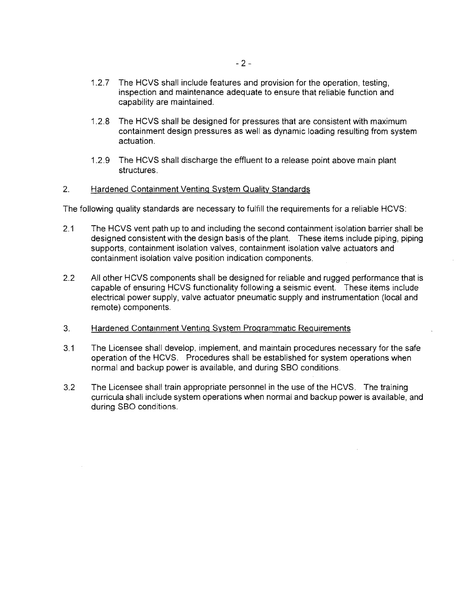- 1.2.7 The HCVS shall include features and provision for the operation, testing, inspection and maintenance adequate to ensure that reliable function and capability are maintained.
- 1.2.8 The HCVS shall be designed for pressures that are consistent with maximum containment design pressures as well as dynamic loading resulting from system actuation.
- 1.2.9 The HCVS shall discharge the effluent to a release point above main plant structures.

### 2. Hardened Containment Venting System Quality Standards

The following quality standards are necessary to fulfill the requirements for a reliable HCVS:

- 2.1 The HCVS vent path up to and including the second containment isolation barrier shall be designed consistent with the design basis of the plant. These items include piping, piping supports, containment isolation valves, containment isolation valve actuators and containment isolation valve position indication components.
- 2.2 All other HCVS components shall be designed for reliable and rugged performance that is capable of ensuring HCVS functionality following a seismic event. These items include electrical power supply, valve actuator pneumatic supply and instrumentation (local and remote) components.
- 3. Hardened Containment Venting System Programmatic Requirements
- 3.1 The Licensee shall develop, implement, and maintain procedures necessary for the safe operation of the HCVS. Procedures shall be established for system operations when normal and backup power is available, and during SBO conditions.
- 3.2 The Licensee shall train appropriate personnel in the use of the HCVS. The training curricula shall include system operations when normal and backup power is available, and during SBO conditions.